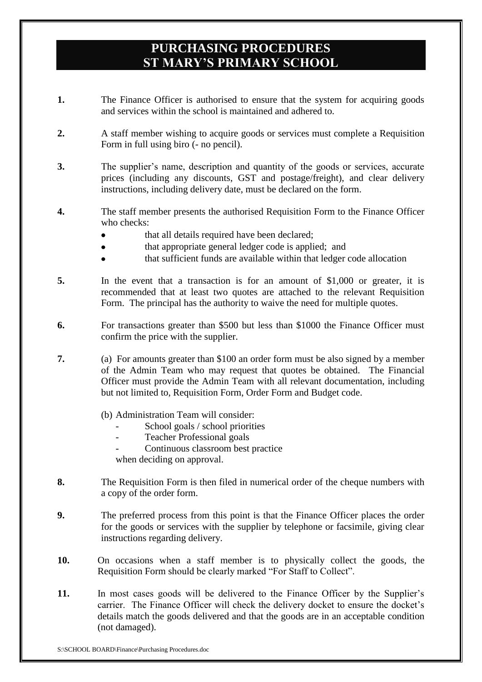## **PURCHASING PROCEDURES ST MARY'S PRIMARY SCHOOL**

- **1.** The Finance Officer is authorised to ensure that the system for acquiring goods and services within the school is maintained and adhered to.
- **2.** A staff member wishing to acquire goods or services must complete a Requisition Form in full using biro (- no pencil).
- **3.** The supplier's name, description and quantity of the goods or services, accurate prices (including any discounts, GST and postage/freight), and clear delivery instructions, including delivery date, must be declared on the form.
- **4.** The staff member presents the authorised Requisition Form to the Finance Officer who checks:
	- that all details required have been declared;
	- that appropriate general ledger code is applied; and  $\bullet$
	- that sufficient funds are available within that ledger code allocation
- **5.** In the event that a transaction is for an amount of \$1,000 or greater, it is recommended that at least two quotes are attached to the relevant Requisition Form. The principal has the authority to waive the need for multiple quotes.
- **6.** For transactions greater than \$500 but less than \$1000 the Finance Officer must confirm the price with the supplier.
- **7.** (a) For amounts greater than \$100 an order form must be also signed by a member of the Admin Team who may request that quotes be obtained. The Financial Officer must provide the Admin Team with all relevant documentation, including but not limited to, Requisition Form, Order Form and Budget code.
	- (b) Administration Team will consider:
		- School goals / school priorities
		- Teacher Professional goals
		- Continuous classroom best practice

when deciding on approval.

- **8.** The Requisition Form is then filed in numerical order of the cheque numbers with a copy of the order form.
- **9.** The preferred process from this point is that the Finance Officer places the order for the goods or services with the supplier by telephone or facsimile, giving clear instructions regarding delivery.
- **10.** On occasions when a staff member is to physically collect the goods, the Requisition Form should be clearly marked "For Staff to Collect".
- **11.** In most cases goods will be delivered to the Finance Officer by the Supplier's carrier. The Finance Officer will check the delivery docket to ensure the docket's details match the goods delivered and that the goods are in an acceptable condition (not damaged).